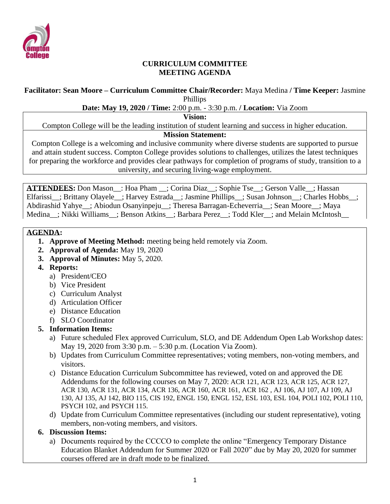

### **CURRICULUM COMMITTEE MEETING AGENDA**

#### **Facilitator: Sean Moore – Curriculum Committee Chair/Recorder:** Maya Medina **/ Time Keeper:** Jasmine Phillips

### **Date: May 19, 2020 / Time:** 2:00 p.m. - 3:30 p.m. **/ Location:** Via Zoom

**Vision:**

Compton College will be the leading institution of student learning and success in higher education.

### **Mission Statement:**

Compton College is a welcoming and inclusive community where diverse students are supported to pursue and attain student success. Compton College provides solutions to challenges, utilizes the latest techniques for preparing the workforce and provides clear pathways for completion of programs of study, transition to a university, and securing living-wage employment.

**ATTENDEES:** Don Mason\_\_: Hoa Pham \_\_; Corina Diaz\_\_; Sophie Tse\_\_; Gerson Valle\_\_; Hassan Elfarissi ; Brittany Olayele ; Harvey Estrada ; Jasmine Phillips ; Susan Johnson ; Charles Hobbs ; Abdirashid Yahye\_\_; Abiodun Osanyinpeju\_\_; Theresa Barragan-Echeverria\_\_; Sean Moore\_\_; Maya Medina : Nikki Williams : Benson Atkins : Barbara Perez : Todd Kler : and Melain McIntosh

### **AGENDA:**

- **1. Approve of Meeting Method:** meeting being held remotely via Zoom.
- **2. Approval of Agenda:** May 19, 2020
- **3. Approval of Minutes:** May 5, 2020.
- **4. Reports:**
	- a) President/CEO
	- b) Vice President
	- c) Curriculum Analyst
	- d) Articulation Officer
	- e) Distance Education
	- f) SLO Coordinator

### **5. Information Items:**

- a) Future scheduled Flex approved Curriculum, SLO, and DE Addendum Open Lab Workshop dates: May 19, 2020 from 3:30 p.m. – 5:30 p.m. (Location Via Zoom).
- b) Updates from Curriculum Committee representatives; voting members, non-voting members, and visitors.
- c) Distance Education Curriculum Subcommittee has reviewed, voted on and approved the DE Addendums for the following courses on May 7, 2020: ACR 121, ACR 123, ACR 125, ACR 127, ACR 130, ACR 131, ACR 134, ACR 136, ACR 160, ACR 161, ACR 162 , AJ 106, AJ 107, AJ 109, AJ 130, AJ 135, AJ 142, BIO 115, CIS 192, ENGL 150, ENGL 152, ESL 103, ESL 104, POLI 102, POLI 110, PSYCH 102, and PSYCH 115.
- d) Update from Curriculum Committee representatives (including our student representative), voting members, non-voting members, and visitors.

### **6. Discussion Items:**

a) Documents required by the CCCCO to complete the online "Emergency Temporary Distance Education Blanket Addendum for Summer 2020 or Fall 2020" due by May 20, 2020 for summer courses offered are in draft mode to be finalized.